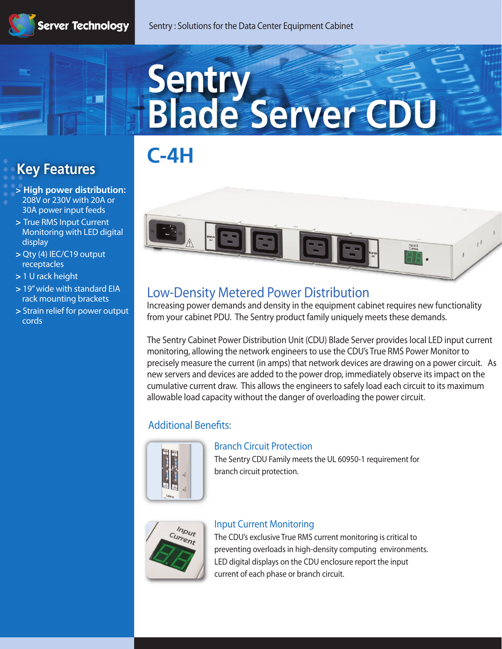**The Second** 

# **Sentry Blade Server CDU**





# **Low-Density Metered Power Distribution**

Increasing power demands and density in the equipment cabinet requires new functionality from your cabinet PDU. The Sentry product family uniquely meets these demands.

The Sentry Cabinet Power Distribution Unit (CDU) Blade Server provides local LED input current monitoring, allowing the network engineers to use the CDU's True RMS Power Monitor to precisely measure the current (in amps) that network devices are drawing on a power circuit. As new servers and devices are added to the power drop, immediately observe its impact on the cumulative current draw. This allows the engineers to safely load each circuit to its maximum allowable load capacity without the danger of overloading the power circuit.

# **Additional Benefits:**



## **Branch Circuit Protection**

The Sentry CDU Family meets the UL 60950-1 requirement for branch circuit protection.



# **Input Current Monitoring**

The CDU's exclusive True RMS current monitoring is critical to preventing overloads in high-density computing environments. LED digital displays on the CDU enclosure report the input current of each phase or branch circuit.

# **Key Features**

- **> High power distribution: 208V or 230V with 20A or 30A power input feeds**
- **> True RMS Input Current Monitoring with LED digital display**
- **> Qty (4) IEC/C19 output receptacles**
- **> 1 U rack height**
- **> 19" wide with standard EIA rack mounting brackets**
- **> Strain relief for power output cords**